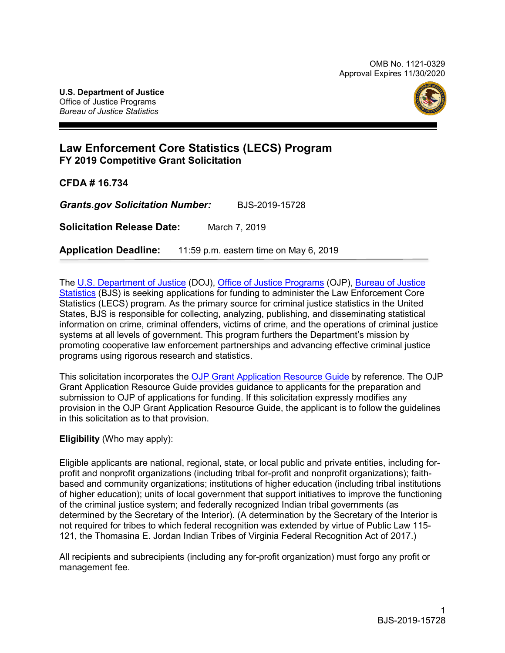OMB No. 1121-0329 Approval Expires 11/30/2020



## **Law Enforcement Core Statistics (LECS) Program FY 2019 Competitive Grant Solicitation**

**CFDA # 16.734**

*Grants.gov Solicitation Number:* BJS-2019-15728

**Solicitation Release Date:** March 7, 2019

**Application Deadline:** 11:59 p.m. eastern time on May 6, 2019

The [U.S. Department of Justice](https://www.usdoj.gov/) (DOJ), [Office of Justice Programs](https://ojp.gov/) (OJP), [Bureau of Justice](https://www.bjs.gov/)  [Statistics](https://www.bjs.gov/) (BJS) is seeking applications for funding to administer the Law Enforcement Core Statistics (LECS) program*.* As the primary source for criminal justice statistics in the United States, BJS is responsible for collecting, analyzing, publishing, and disseminating statistical information on crime, criminal offenders, victims of crime, and the operations of criminal justice systems at all levels of government. This program furthers the Department's mission by promoting cooperative law enforcement partnerships and advancing effective criminal justice programs using rigorous research and statistics.

This solicitation incorporates the [OJP Grant Application Resource Guide](https://www.ojp.gov/funding/Apply/Resources/Grant-App-Resource-Guide.htm) by reference. The OJP Grant Application Resource Guide provides guidance to applicants for the preparation and submission to OJP of applications for funding. If this solicitation expressly modifies any provision in the OJP Grant Application Resource Guide, the applicant is to follow the guidelines in this solicitation as to that provision.

#### **Eligibility** (Who may apply):

Eligible applicants are national, regional, state, or local public and private entities, including forprofit and nonprofit organizations (including tribal for-profit and nonprofit organizations); faithbased and community organizations; institutions of higher education (including tribal institutions of higher education); units of local government that support initiatives to improve the functioning of the criminal justice system; and federally recognized Indian tribal governments (as determined by the Secretary of the Interior). (A determination by the Secretary of the Interior is not required for tribes to which federal recognition was extended by virtue of Public Law 115- 121, the Thomasina E. Jordan Indian Tribes of Virginia Federal Recognition Act of 2017.)

All recipients and subrecipients (including any for-profit organization) must forgo any profit or management fee.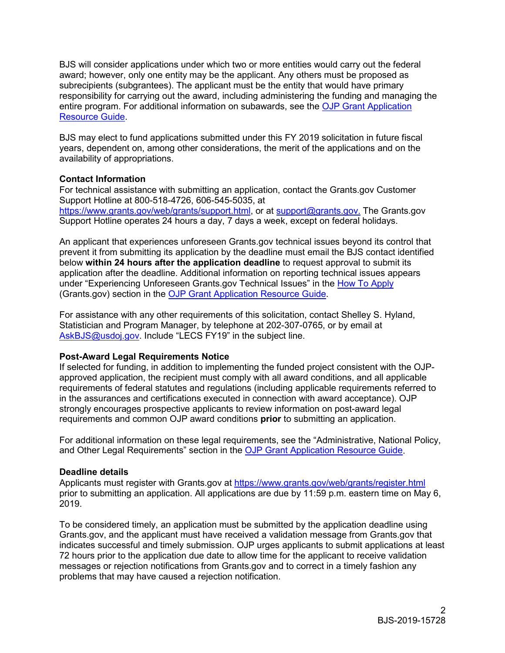BJS will consider applications under which two or more entities would carry out the federal award; however, only one entity may be the applicant. Any others must be proposed as subrecipients (subgrantees). The applicant must be the entity that would have primary responsibility for carrying out the award, including administering the funding and managing the entire program. For additional information on subawards, see the [OJP Grant Application](https://www.ojp.gov/funding/Apply/Resources/Grant-App-Resource-Guide.htm)  [Resource Guide.](https://www.ojp.gov/funding/Apply/Resources/Grant-App-Resource-Guide.htm)

BJS may elect to fund applications submitted under this FY 2019 solicitation in future fiscal years, dependent on, among other considerations, the merit of the applications and on the availability of appropriations.

#### **Contact Information**

For technical assistance with submitting an application, contact the Grants.gov Customer Support Hotline at 800-518-4726, 606-545-5035, at [https://www.grants.gov/web/grants/support.html,](https://www.grants.gov/web/grants/support.html) or at [support@grants.gov.](mailto:support@grants.gov) The Grants.gov Support Hotline operates 24 hours a day, 7 days a week, except on federal holidays.

An applicant that experiences unforeseen Grants.gov technical issues beyond its control that prevent it from submitting its application by the deadline must email the BJS contact identified below **within 24 hours after the application deadline** to request approval to submit its application after the deadline. Additional information on reporting technical issues appears under "Experiencing Unforeseen Grants.gov Technical Issues" in the [How To Apply](#page-23-0) (Grants.gov) section in the [OJP Grant Application Resource Guide.](https://www.ojp.gov/funding/Apply/Resources/Grant-App-Resource-Guide.htm)

For assistance with any other requirements of this solicitation, contact Shelley S. Hyland, Statistician and Program Manager, by telephone at 202-307-0765, or by email at [AskBJS@usdoj.gov.](mailto:AskBJS@usdoj.gov?subject=LECS%20FY19) Include "LECS FY19" in the subject line.

#### **Post-Award Legal Requirements Notice**

If selected for funding, in addition to implementing the funded project consistent with the OJPapproved application, the recipient must comply with all award conditions, and all applicable requirements of federal statutes and regulations (including applicable requirements referred to in the assurances and certifications executed in connection with award acceptance). OJP strongly encourages prospective applicants to review information on post-award legal requirements and common OJP award conditions **prior** to submitting an application.

For additional information on these legal requirements, see the "Administrative, National Policy, and Other Legal Requirements" section in the [OJP Grant Application Resource Guide.](https://www.ojp.gov/funding/Apply/Resources/Grant-App-Resource-Guide.htm)

#### **Deadline details**

Applicants must register with Grants.gov at <https://www.grants.gov/web/grants/register.html> prior to submitting an application. All applications are due by 11:59 p.m. eastern time on May 6, 2019.

To be considered timely, an application must be submitted by the application deadline using Grants.gov, and the applicant must have received a validation message from Grants.gov that indicates successful and timely submission. OJP urges applicants to submit applications at least 72 hours prior to the application due date to allow time for the applicant to receive validation messages or rejection notifications from Grants.gov and to correct in a timely fashion any problems that may have caused a rejection notification.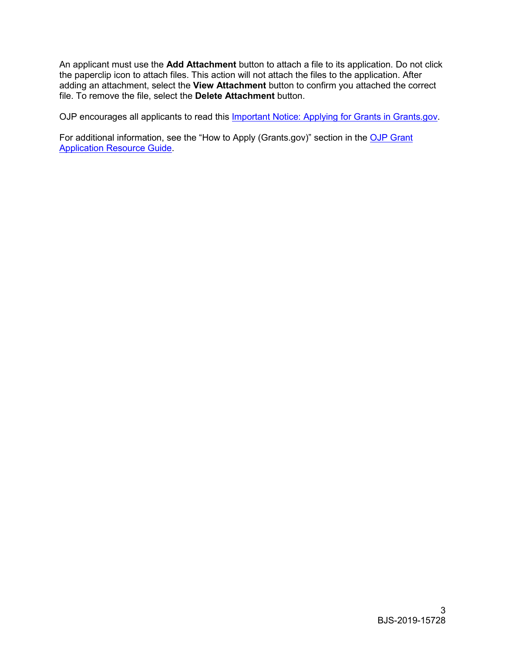An applicant must use the **Add Attachment** button to attach a file to its application. Do not click the paperclip icon to attach files. This action will not attach the files to the application. After adding an attachment, select the **View Attachment** button to confirm you attached the correct file. To remove the file, select the **Delete Attachment** button.

OJP encourages all applicants to read this *Important Notice: Applying for Grants in Grants.gov.* 

For additional information, see the "How to Apply (Grants.gov)" section in the OJP Grant [Application Resource Guide.](https://www.ojp.gov/funding/Apply/Resources/Grant-App-Resource-Guide.htm)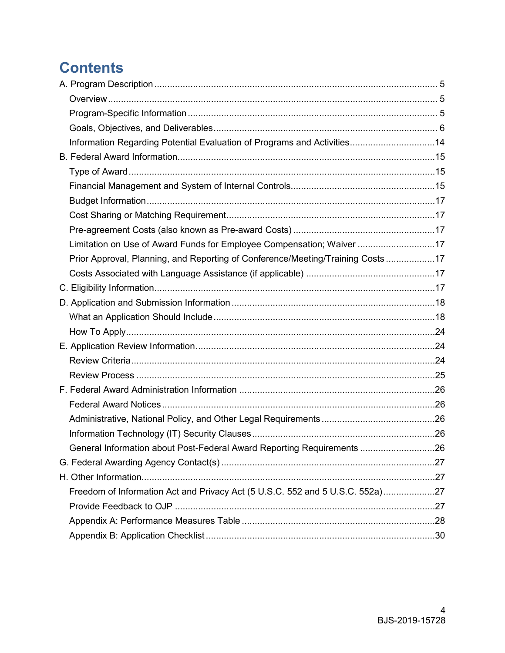# **Contents**

| Information Regarding Potential Evaluation of Programs and Activities14         |  |
|---------------------------------------------------------------------------------|--|
|                                                                                 |  |
|                                                                                 |  |
|                                                                                 |  |
|                                                                                 |  |
|                                                                                 |  |
|                                                                                 |  |
| Limitation on Use of Award Funds for Employee Compensation; Waiver 17           |  |
| Prior Approval, Planning, and Reporting of Conference/Meeting/Training Costs 17 |  |
|                                                                                 |  |
|                                                                                 |  |
|                                                                                 |  |
|                                                                                 |  |
|                                                                                 |  |
|                                                                                 |  |
|                                                                                 |  |
|                                                                                 |  |
|                                                                                 |  |
|                                                                                 |  |
|                                                                                 |  |
|                                                                                 |  |
| General Information about Post-Federal Award Reporting Requirements 26          |  |
|                                                                                 |  |
|                                                                                 |  |
| Freedom of Information Act and Privacy Act (5 U.S.C. 552 and 5 U.S.C. 552a)27   |  |
|                                                                                 |  |
|                                                                                 |  |
|                                                                                 |  |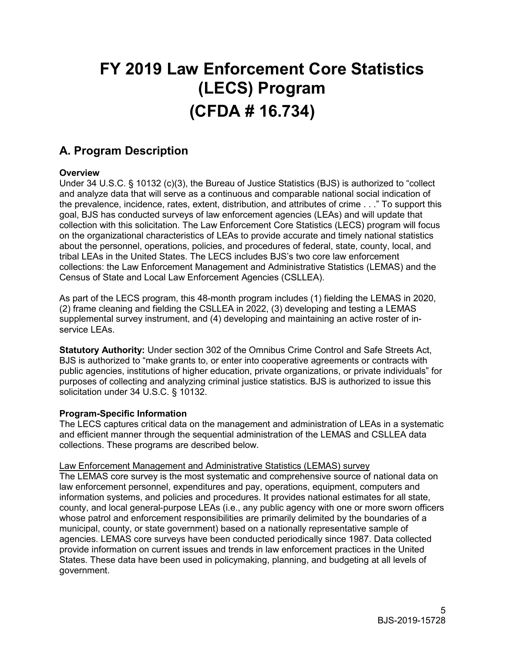# **FY 2019 Law Enforcement Core Statistics (LECS) Program (CFDA # 16.734)**

# <span id="page-4-0"></span>**A. Program Description**

#### <span id="page-4-1"></span>**Overview**

Under 34 U.S.C. § 10132 (c)(3), the Bureau of Justice Statistics (BJS) is authorized to "collect and analyze data that will serve as a continuous and comparable national social indication of the prevalence, incidence, rates, extent, distribution, and attributes of crime . . ." To support this goal, BJS has conducted surveys of law enforcement agencies (LEAs) and will update that collection with this solicitation. The Law Enforcement Core Statistics (LECS) program will focus on the organizational characteristics of LEAs to provide accurate and timely national statistics about the personnel, operations, policies, and procedures of federal, state, county, local, and tribal LEAs in the United States. The LECS includes BJS's two core law enforcement collections: the Law Enforcement Management and Administrative Statistics (LEMAS) and the Census of State and Local Law Enforcement Agencies (CSLLEA).

As part of the LECS program, this 48-month program includes (1) fielding the LEMAS in 2020, (2) frame cleaning and fielding the CSLLEA in 2022, (3) developing and testing a LEMAS supplemental survey instrument, and (4) developing and maintaining an active roster of inservice LEAs.

**Statutory Authority:** Under section 302 of the Omnibus Crime Control and Safe Streets Act, BJS is authorized to "make grants to, or enter into cooperative agreements or contracts with public agencies, institutions of higher education, private organizations, or private individuals" for purposes of collecting and analyzing criminal justice statistics. BJS is authorized to issue this solicitation under 34 U.S.C. § 10132.

#### <span id="page-4-2"></span>**Program-Specific Information**

The LECS captures critical data on the management and administration of LEAs in a systematic and efficient manner through the sequential administration of the LEMAS and CSLLEA data collections. These programs are described below.

#### Law Enforcement Management and Administrative Statistics (LEMAS) survey

The LEMAS core survey is the most systematic and comprehensive source of national data on law enforcement personnel, expenditures and pay, operations, equipment, computers and information systems, and policies and procedures. It provides national estimates for all state, county, and local general-purpose LEAs (i.e., any public agency with one or more sworn officers whose patrol and enforcement responsibilities are primarily delimited by the boundaries of a municipal, county, or state government) based on a nationally representative sample of agencies. LEMAS core surveys have been conducted periodically since 1987. Data collected provide information on current issues and trends in law enforcement practices in the United States. These data have been used in policymaking, planning, and budgeting at all levels of government.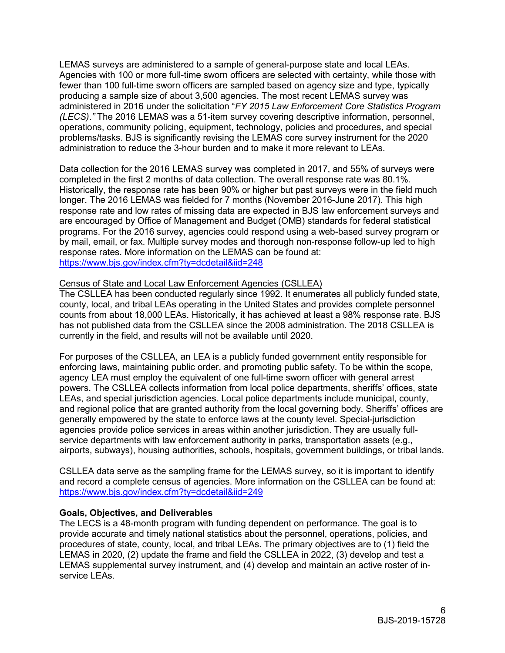LEMAS surveys are administered to a sample of general-purpose state and local LEAs. Agencies with 100 or more full-time sworn officers are selected with certainty, while those with fewer than 100 full-time sworn officers are sampled based on agency size and type, typically producing a sample size of about 3,500 agencies. The most recent LEMAS survey was administered in 2016 under the solicitation "*FY 2015 Law Enforcement Core Statistics Program (LECS)*.*"* The 2016 LEMAS was a 51-item survey covering descriptive information, personnel, operations, community policing, equipment, technology, policies and procedures, and special problems/tasks. BJS is significantly revising the LEMAS core survey instrument for the 2020 administration to reduce the 3-hour burden and to make it more relevant to LEAs.

Data collection for the 2016 LEMAS survey was completed in 2017, and 55% of surveys were completed in the first 2 months of data collection. The overall response rate was 80.1%. Historically, the response rate has been 90% or higher but past surveys were in the field much longer. The 2016 LEMAS was fielded for 7 months (November 2016-June 2017). This high response rate and low rates of missing data are expected in BJS law enforcement surveys and are encouraged by Office of Management and Budget (OMB) standards for federal statistical programs. For the 2016 survey, agencies could respond using a web-based survey program or by mail, email, or fax. Multiple survey modes and thorough non-response follow-up led to high response rates. More information on the LEMAS can be found at: <https://www.bjs.gov/index.cfm?ty=dcdetail&iid=248>

#### Census of State and Local Law Enforcement Agencies (CSLLEA)

The CSLLEA has been conducted regularly since 1992. It enumerates all publicly funded state, county, local, and tribal LEAs operating in the United States and provides complete personnel counts from about 18,000 LEAs. Historically, it has achieved at least a 98% response rate. BJS has not published data from the CSLLEA since the 2008 administration. The 2018 CSLLEA is currently in the field, and results will not be available until 2020.

For purposes of the CSLLEA, an LEA is a publicly funded government entity responsible for enforcing laws, maintaining public order, and promoting public safety. To be within the scope, agency LEA must employ the equivalent of one full-time sworn officer with general arrest powers. The CSLLEA collects information from local police departments, sheriffs' offices, state LEAs, and special jurisdiction agencies. Local police departments include municipal, county, and regional police that are granted authority from the local governing body. Sheriffs' offices are generally empowered by the state to enforce laws at the county level. Special-jurisdiction agencies provide police services in areas within another jurisdiction. They are usually fullservice departments with law enforcement authority in parks, transportation assets (e.g., airports, subways), housing authorities, schools, hospitals, government buildings, or tribal lands.

CSLLEA data serve as the sampling frame for the LEMAS survey, so it is important to identify and record a complete census of agencies. More information on the CSLLEA can be found at: <https://www.bjs.gov/index.cfm?ty=dcdetail&iid=249>

#### <span id="page-5-0"></span>**Goals, Objectives, and Deliverables**

The LECS is a 48-month program with funding dependent on performance. The goal is to provide accurate and timely national statistics about the personnel, operations, policies, and procedures of state, county, local, and tribal LEAs. The primary objectives are to (1) field the LEMAS in 2020, (2) update the frame and field the CSLLEA in 2022, (3) develop and test a LEMAS supplemental survey instrument, and (4) develop and maintain an active roster of inservice LEAs.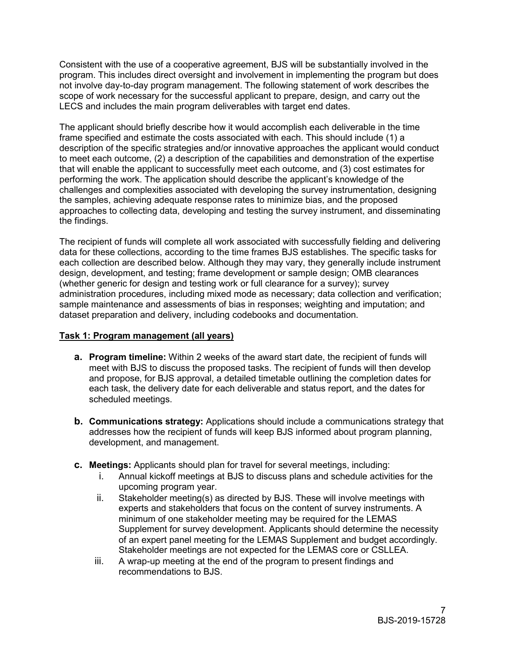Consistent with the use of a cooperative agreement, BJS will be substantially involved in the program. This includes direct oversight and involvement in implementing the program but does not involve day-to-day program management. The following statement of work describes the scope of work necessary for the successful applicant to prepare, design, and carry out the LECS and includes the main program deliverables with target end dates.

The applicant should briefly describe how it would accomplish each deliverable in the time frame specified and estimate the costs associated with each. This should include (1) a description of the specific strategies and/or innovative approaches the applicant would conduct to meet each outcome, (2) a description of the capabilities and demonstration of the expertise that will enable the applicant to successfully meet each outcome, and (3) cost estimates for performing the work. The application should describe the applicant's knowledge of the challenges and complexities associated with developing the survey instrumentation, designing the samples, achieving adequate response rates to minimize bias, and the proposed approaches to collecting data, developing and testing the survey instrument, and disseminating the findings.

The recipient of funds will complete all work associated with successfully fielding and delivering data for these collections, according to the time frames BJS establishes. The specific tasks for each collection are described below. Although they may vary, they generally include instrument design, development, and testing; frame development or sample design; OMB clearances (whether generic for design and testing work or full clearance for a survey); survey administration procedures, including mixed mode as necessary; data collection and verification; sample maintenance and assessments of bias in responses; weighting and imputation; and dataset preparation and delivery, including codebooks and documentation.

#### **Task 1: Program management (all years)**

- **a. Program timeline:** Within 2 weeks of the award start date, the recipient of funds will meet with BJS to discuss the proposed tasks. The recipient of funds will then develop and propose, for BJS approval, a detailed timetable outlining the completion dates for each task, the delivery date for each deliverable and status report, and the dates for scheduled meetings.
- **b. Communications strategy:** Applications should include a communications strategy that addresses how the recipient of funds will keep BJS informed about program planning, development, and management.
- **c. Meetings:** Applicants should plan for travel for several meetings, including:
	- i. Annual kickoff meetings at BJS to discuss plans and schedule activities for the upcoming program year.
	- ii. Stakeholder meeting(s) as directed by BJS. These will involve meetings with experts and stakeholders that focus on the content of survey instruments. A minimum of one stakeholder meeting may be required for the LEMAS Supplement for survey development. Applicants should determine the necessity of an expert panel meeting for the LEMAS Supplement and budget accordingly. Stakeholder meetings are not expected for the LEMAS core or CSLLEA.
	- iii. A wrap-up meeting at the end of the program to present findings and recommendations to BJS.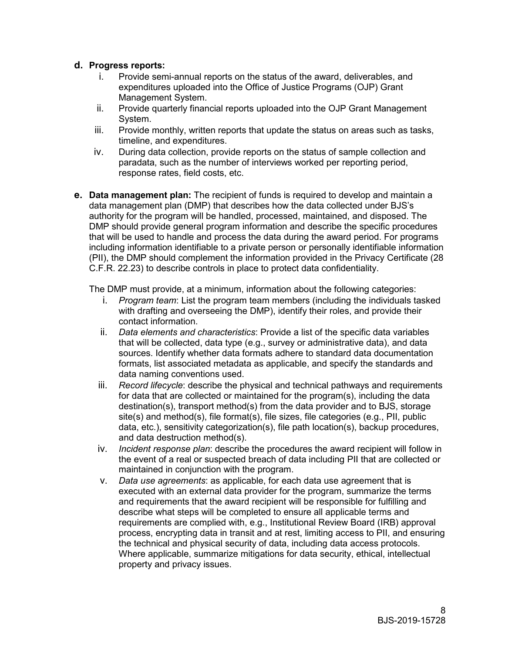#### **d. Progress reports:**

- Provide semi-annual reports on the status of the award, deliverables, and expenditures uploaded into the Office of Justice Programs (OJP) Grant Management System.
- ii. Provide quarterly financial reports uploaded into the OJP Grant Management System.
- iii. Provide monthly, written reports that update the status on areas such as tasks, timeline, and expenditures.
- iv. During data collection, provide reports on the status of sample collection and paradata, such as the number of interviews worked per reporting period, response rates, field costs, etc.
- **e. Data management plan:** The recipient of funds is required to develop and maintain a data management plan (DMP) that describes how the data collected under BJS's authority for the program will be handled, processed, maintained, and disposed. The DMP should provide general program information and describe the specific procedures that will be used to handle and process the data during the award period. For programs including information identifiable to a private person or personally identifiable information (PII), the DMP should complement the information provided in the Privacy Certificate (28 C.F.R. 22.23) to describe controls in place to protect data confidentiality.

The DMP must provide, at a minimum, information about the following categories:

- i. *Program team*: List the program team members (including the individuals tasked with drafting and overseeing the DMP), identify their roles, and provide their contact information.
- ii. *Data elements and characteristics*: Provide a list of the specific data variables that will be collected, data type (e.g., survey or administrative data), and data sources. Identify whether data formats adhere to standard data documentation formats, list associated metadata as applicable, and specify the standards and data naming conventions used.
- iii. *Record lifecycle*: describe the physical and technical pathways and requirements for data that are collected or maintained for the program(s), including the data destination(s), transport method(s) from the data provider and to BJS, storage site(s) and method(s), file format(s), file sizes, file categories (e.g., PII, public data, etc.), sensitivity categorization(s), file path location(s), backup procedures, and data destruction method(s).
- iv. *Incident response plan*: describe the procedures the award recipient will follow in the event of a real or suspected breach of data including PII that are collected or maintained in conjunction with the program.
- v. *Data use agreements*: as applicable, for each data use agreement that is executed with an external data provider for the program, summarize the terms and requirements that the award recipient will be responsible for fulfilling and describe what steps will be completed to ensure all applicable terms and requirements are complied with, e.g., Institutional Review Board (IRB) approval process, encrypting data in transit and at rest, limiting access to PII, and ensuring the technical and physical security of data, including data access protocols. Where applicable, summarize mitigations for data security, ethical, intellectual property and privacy issues.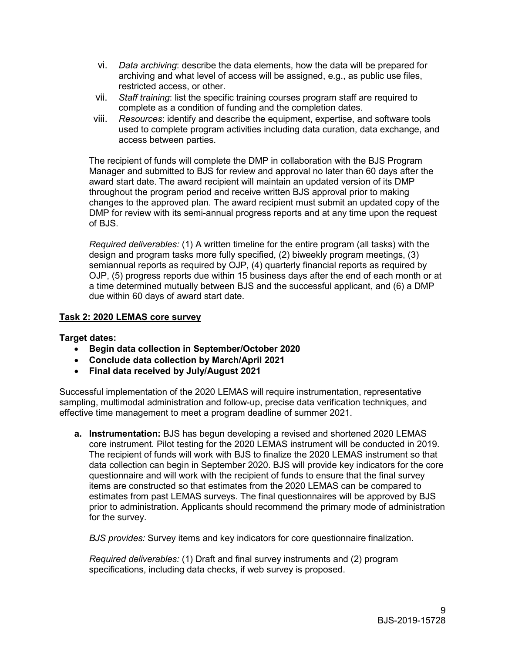- vi. *Data archiving*: describe the data elements, how the data will be prepared for archiving and what level of access will be assigned, e.g., as public use files, restricted access, or other.
- vii. *Staff training*: list the specific training courses program staff are required to complete as a condition of funding and the completion dates.
- viii. *Resources*: identify and describe the equipment, expertise, and software tools used to complete program activities including data curation, data exchange, and access between parties.

The recipient of funds will complete the DMP in collaboration with the BJS Program Manager and submitted to BJS for review and approval no later than 60 days after the award start date. The award recipient will maintain an updated version of its DMP throughout the program period and receive written BJS approval prior to making changes to the approved plan. The award recipient must submit an updated copy of the DMP for review with its semi-annual progress reports and at any time upon the request of BJS.

*Required deliverables:* (1) A written timeline for the entire program (all tasks) with the design and program tasks more fully specified, (2) biweekly program meetings, (3) semiannual reports as required by OJP, (4) quarterly financial reports as required by OJP, (5) progress reports due within 15 business days after the end of each month or at a time determined mutually between BJS and the successful applicant, and (6) a DMP due within 60 days of award start date.

#### **Task 2: 2020 LEMAS core survey**

**Target dates:**

- **Begin data collection in September/October 2020**
- **Conclude data collection by March/April 2021**
- **Final data received by July/August 2021**

Successful implementation of the 2020 LEMAS will require instrumentation, representative sampling, multimodal administration and follow-up, precise data verification techniques, and effective time management to meet a program deadline of summer 2021.

**a. Instrumentation:** BJS has begun developing a revised and shortened 2020 LEMAS core instrument. Pilot testing for the 2020 LEMAS instrument will be conducted in 2019. The recipient of funds will work with BJS to finalize the 2020 LEMAS instrument so that data collection can begin in September 2020. BJS will provide key indicators for the core questionnaire and will work with the recipient of funds to ensure that the final survey items are constructed so that estimates from the 2020 LEMAS can be compared to estimates from past LEMAS surveys. The final questionnaires will be approved by BJS prior to administration. Applicants should recommend the primary mode of administration for the survey.

*BJS provides:* Survey items and key indicators for core questionnaire finalization.

*Required deliverables:* (1) Draft and final survey instruments and (2) program specifications, including data checks, if web survey is proposed.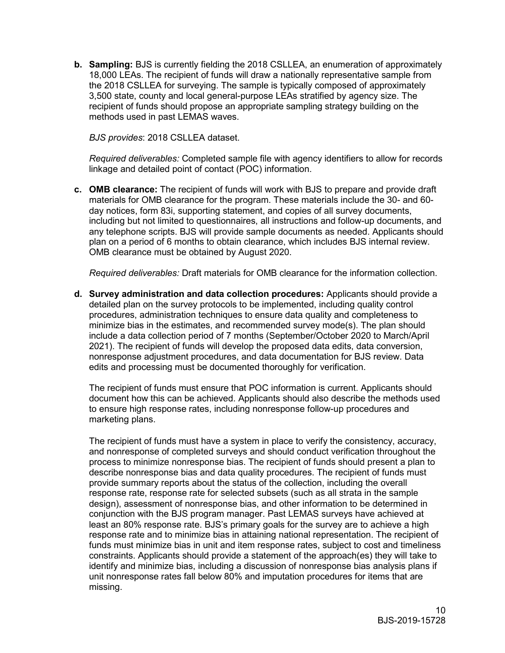**b. Sampling:** BJS is currently fielding the 2018 CSLLEA, an enumeration of approximately 18,000 LEAs. The recipient of funds will draw a nationally representative sample from the 2018 CSLLEA for surveying. The sample is typically composed of approximately 3,500 state, county and local general-purpose LEAs stratified by agency size. The recipient of funds should propose an appropriate sampling strategy building on the methods used in past LEMAS waves.

*BJS provides*: 2018 CSLLEA dataset.

*Required deliverables:* Completed sample file with agency identifiers to allow for records linkage and detailed point of contact (POC) information.

**c. OMB clearance:** The recipient of funds will work with BJS to prepare and provide draft materials for OMB clearance for the program. These materials include the 30- and 60 day notices, form 83i, supporting statement, and copies of all survey documents, including but not limited to questionnaires, all instructions and follow-up documents, and any telephone scripts. BJS will provide sample documents as needed. Applicants should plan on a period of 6 months to obtain clearance, which includes BJS internal review. OMB clearance must be obtained by August 2020.

*Required deliverables:* Draft materials for OMB clearance for the information collection.

**d. Survey administration and data collection procedures:** Applicants should provide a detailed plan on the survey protocols to be implemented, including quality control procedures, administration techniques to ensure data quality and completeness to minimize bias in the estimates, and recommended survey mode(s). The plan should include a data collection period of 7 months (September/October 2020 to March/April 2021). The recipient of funds will develop the proposed data edits, data conversion, nonresponse adjustment procedures, and data documentation for BJS review. Data edits and processing must be documented thoroughly for verification.

The recipient of funds must ensure that POC information is current. Applicants should document how this can be achieved. Applicants should also describe the methods used to ensure high response rates, including nonresponse follow-up procedures and marketing plans.

The recipient of funds must have a system in place to verify the consistency, accuracy, and nonresponse of completed surveys and should conduct verification throughout the process to minimize nonresponse bias. The recipient of funds should present a plan to describe nonresponse bias and data quality procedures. The recipient of funds must provide summary reports about the status of the collection, including the overall response rate, response rate for selected subsets (such as all strata in the sample design), assessment of nonresponse bias, and other information to be determined in conjunction with the BJS program manager. Past LEMAS surveys have achieved at least an 80% response rate. BJS's primary goals for the survey are to achieve a high response rate and to minimize bias in attaining national representation. The recipient of funds must minimize bias in unit and item response rates, subject to cost and timeliness constraints. Applicants should provide a statement of the approach(es) they will take to identify and minimize bias, including a discussion of nonresponse bias analysis plans if unit nonresponse rates fall below 80% and imputation procedures for items that are missing.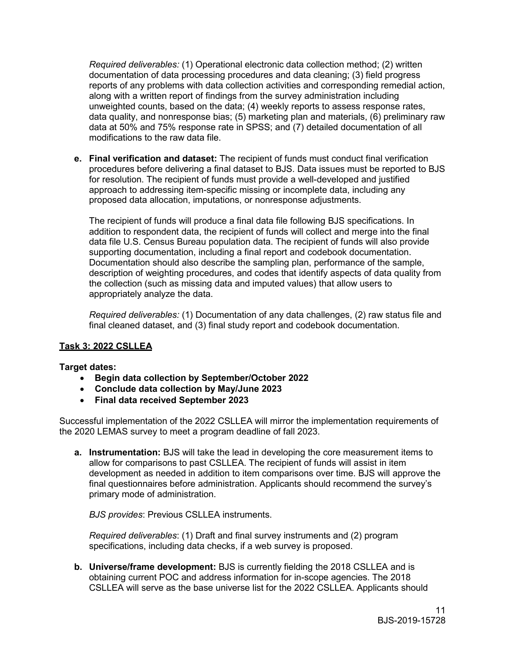*Required deliverables:* (1) Operational electronic data collection method; (2) written documentation of data processing procedures and data cleaning; (3) field progress reports of any problems with data collection activities and corresponding remedial action, along with a written report of findings from the survey administration including unweighted counts, based on the data; (4) weekly reports to assess response rates, data quality, and nonresponse bias; (5) marketing plan and materials, (6) preliminary raw data at 50% and 75% response rate in SPSS; and (7) detailed documentation of all modifications to the raw data file.

**e. Final verification and dataset:** The recipient of funds must conduct final verification procedures before delivering a final dataset to BJS. Data issues must be reported to BJS for resolution. The recipient of funds must provide a well-developed and justified approach to addressing item-specific missing or incomplete data, including any proposed data allocation, imputations, or nonresponse adjustments.

The recipient of funds will produce a final data file following BJS specifications. In addition to respondent data, the recipient of funds will collect and merge into the final data file U.S. Census Bureau population data. The recipient of funds will also provide supporting documentation, including a final report and codebook documentation. Documentation should also describe the sampling plan, performance of the sample, description of weighting procedures, and codes that identify aspects of data quality from the collection (such as missing data and imputed values) that allow users to appropriately analyze the data.

*Required deliverables:* (1) Documentation of any data challenges, (2) raw status file and final cleaned dataset, and (3) final study report and codebook documentation.

#### **Task 3: 2022 CSLLEA**

#### **Target dates:**

- **Begin data collection by September/October 2022**
- **Conclude data collection by May/June 2023**
- **Final data received September 2023**

Successful implementation of the 2022 CSLLEA will mirror the implementation requirements of the 2020 LEMAS survey to meet a program deadline of fall 2023.

**a. Instrumentation:** BJS will take the lead in developing the core measurement items to allow for comparisons to past CSLLEA. The recipient of funds will assist in item development as needed in addition to item comparisons over time. BJS will approve the final questionnaires before administration. Applicants should recommend the survey's primary mode of administration.

*BJS provides*: Previous CSLLEA instruments.

*Required deliverables*: (1) Draft and final survey instruments and (2) program specifications, including data checks, if a web survey is proposed.

**b. Universe/frame development:** BJS is currently fielding the 2018 CSLLEA and is obtaining current POC and address information for in-scope agencies. The 2018 CSLLEA will serve as the base universe list for the 2022 CSLLEA. Applicants should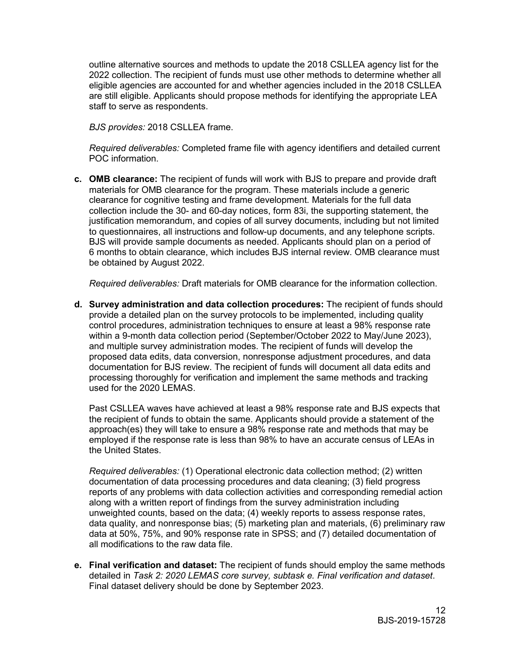outline alternative sources and methods to update the 2018 CSLLEA agency list for the 2022 collection. The recipient of funds must use other methods to determine whether all eligible agencies are accounted for and whether agencies included in the 2018 CSLLEA are still eligible. Applicants should propose methods for identifying the appropriate LEA staff to serve as respondents.

*BJS provides:* 2018 CSLLEA frame.

*Required deliverables:* Completed frame file with agency identifiers and detailed current POC information.

**c. OMB clearance:** The recipient of funds will work with BJS to prepare and provide draft materials for OMB clearance for the program. These materials include a generic clearance for cognitive testing and frame development. Materials for the full data collection include the 30- and 60-day notices, form 83i, the supporting statement, the justification memorandum, and copies of all survey documents, including but not limited to questionnaires, all instructions and follow-up documents, and any telephone scripts. BJS will provide sample documents as needed. Applicants should plan on a period of 6 months to obtain clearance, which includes BJS internal review. OMB clearance must be obtained by August 2022.

*Required deliverables:* Draft materials for OMB clearance for the information collection.

**d. Survey administration and data collection procedures:** The recipient of funds should provide a detailed plan on the survey protocols to be implemented, including quality control procedures, administration techniques to ensure at least a 98% response rate within a 9-month data collection period (September/October 2022 to May/June 2023), and multiple survey administration modes. The recipient of funds will develop the proposed data edits, data conversion, nonresponse adjustment procedures, and data documentation for BJS review. The recipient of funds will document all data edits and processing thoroughly for verification and implement the same methods and tracking used for the 2020 LEMAS

Past CSLLEA waves have achieved at least a 98% response rate and BJS expects that the recipient of funds to obtain the same. Applicants should provide a statement of the approach(es) they will take to ensure a 98% response rate and methods that may be employed if the response rate is less than 98% to have an accurate census of LEAs in the United States.

*Required deliverables:* (1) Operational electronic data collection method; (2) written documentation of data processing procedures and data cleaning; (3) field progress reports of any problems with data collection activities and corresponding remedial action along with a written report of findings from the survey administration including unweighted counts, based on the data; (4) weekly reports to assess response rates, data quality, and nonresponse bias; (5) marketing plan and materials, (6) preliminary raw data at 50%, 75%, and 90% response rate in SPSS; and (7) detailed documentation of all modifications to the raw data file.

**e. Final verification and dataset:** The recipient of funds should employ the same methods detailed in *Task 2: 2020 LEMAS core survey, subtask e. Final verification and dataset*. Final dataset delivery should be done by September 2023.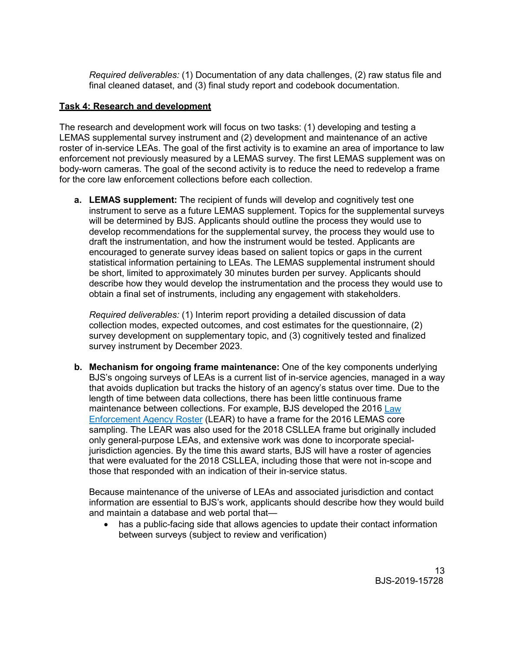*Required deliverables:* (1) Documentation of any data challenges, (2) raw status file and final cleaned dataset, and (3) final study report and codebook documentation.

#### **Task 4: Research and development**

The research and development work will focus on two tasks: (1) developing and testing a LEMAS supplemental survey instrument and (2) development and maintenance of an active roster of in-service LEAs. The goal of the first activity is to examine an area of importance to law enforcement not previously measured by a LEMAS survey. The first LEMAS supplement was on body-worn cameras. The goal of the second activity is to reduce the need to redevelop a frame for the core law enforcement collections before each collection.

**a. LEMAS supplement:** The recipient of funds will develop and cognitively test one instrument to serve as a future LEMAS supplement. Topics for the supplemental surveys will be determined by BJS. Applicants should outline the process they would use to develop recommendations for the supplemental survey, the process they would use to draft the instrumentation, and how the instrument would be tested. Applicants are encouraged to generate survey ideas based on salient topics or gaps in the current statistical information pertaining to LEAs. The LEMAS supplemental instrument should be short, limited to approximately 30 minutes burden per survey. Applicants should describe how they would develop the instrumentation and the process they would use to obtain a final set of instruments, including any engagement with stakeholders.

*Required deliverables:* (1) Interim report providing a detailed discussion of data collection modes, expected outcomes, and cost estimates for the questionnaire, (2) survey development on supplementary topic, and (3) cognitively tested and finalized survey instrument by December 2023.

**b. Mechanism for ongoing frame maintenance:** One of the key components underlying BJS's ongoing surveys of LEAs is a current list of in-service agencies, managed in a way that avoids duplication but tracks the history of an agency's status over time. Due to the length of time between data collections, there has been little continuous frame maintenance between collections. For example, BJS developed the 2016 Law [Enforcement Agency Roster](https://doi.org/10.3886/ICPSR36697.v1) (LEAR) to have a frame for the 2016 LEMAS core sampling. The LEAR was also used for the 2018 CSLLEA frame but originally included only general-purpose LEAs, and extensive work was done to incorporate specialjurisdiction agencies. By the time this award starts, BJS will have a roster of agencies that were evaluated for the 2018 CSLLEA, including those that were not in-scope and those that responded with an indication of their in-service status.

Because maintenance of the universe of LEAs and associated jurisdiction and contact information are essential to BJS's work, applicants should describe how they would build and maintain a database and web portal that—

• has a public-facing side that allows agencies to update their contact information between surveys (subject to review and verification)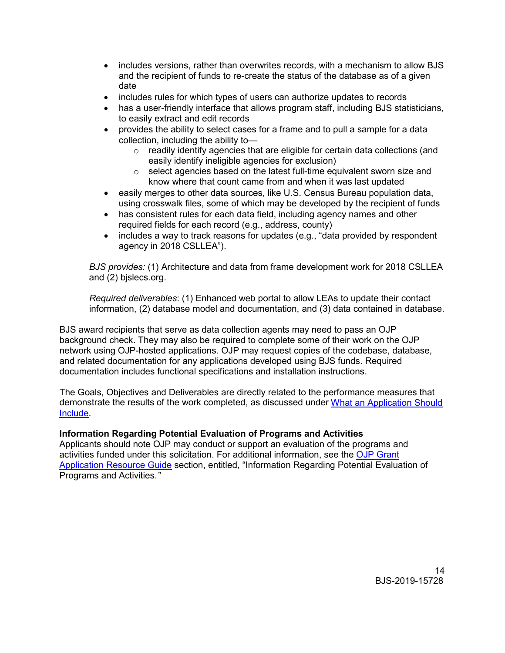- includes versions, rather than overwrites records, with a mechanism to allow BJS and the recipient of funds to re-create the status of the database as of a given date
- includes rules for which types of users can authorize updates to records
- has a user-friendly interface that allows program staff, including BJS statisticians, to easily extract and edit records
- provides the ability to select cases for a frame and to pull a sample for a data collection, including the ability to
	- o readily identify agencies that are eligible for certain data collections (and easily identify ineligible agencies for exclusion)
	- o select agencies based on the latest full-time equivalent sworn size and know where that count came from and when it was last updated
- easily merges to other data sources, like U.S. Census Bureau population data, using crosswalk files, some of which may be developed by the recipient of funds
- has consistent rules for each data field, including agency names and other required fields for each record (e.g., address, county)
- includes a way to track reasons for updates (e.g., "data provided by respondent agency in 2018 CSLLEA").

*BJS provides:* (1) Architecture and data from frame development work for 2018 CSLLEA and (2) bjslecs.org.

*Required deliverables*: (1) Enhanced web portal to allow LEAs to update their contact information, (2) database model and documentation, and (3) data contained in database.

BJS award recipients that serve as data collection agents may need to pass an OJP background check. They may also be required to complete some of their work on the OJP network using OJP-hosted applications. OJP may request copies of the codebase, database, and related documentation for any applications developed using BJS funds. Required documentation includes functional specifications and installation instructions.

The Goals, Objectives and Deliverables are directly related to the performance measures that demonstrate the results of the work completed, as discussed under [What an Application Should](#page-17-1)  [Include.](#page-17-1)

#### <span id="page-13-0"></span>**Information Regarding Potential Evaluation of Programs and Activities**

Applicants should note OJP may conduct or support an evaluation of the programs and activities funded under this solicitation. For additional information, see the [OJP Grant](https://www.ojp.gov/funding/Apply/Resources/Grant-App-Resource-Guide.htm)  [Application Resource Guide](https://www.ojp.gov/funding/Apply/Resources/Grant-App-Resource-Guide.htm) section, entitled, "Information Regarding Potential Evaluation of Programs and Activities.*"*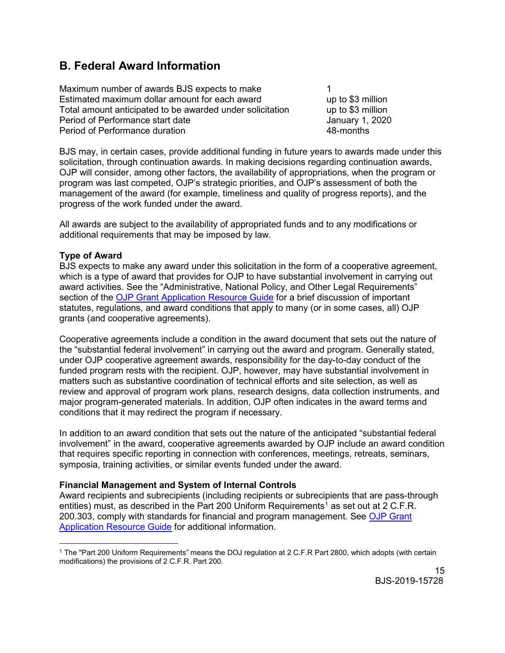## <span id="page-14-0"></span>**B. Federal Award Information**

Maximum number of awards BJS expects to make 1 Estimated maximum dollar amount for each award up to \$3 million Total amount anticipated to be awarded under solicitation up to \$3 million<br>Period of Performance start date discussed by all the standard 1, 2020 Period of Performance start date Period of Performance duration 48-months

BJS may, in certain cases, provide additional funding in future years to awards made under this solicitation, through continuation awards. In making decisions regarding continuation awards, OJP will consider, among other factors, the availability of appropriations, when the program or program was last competed, OJP's strategic priorities, and OJP's assessment of both the management of the award (for example, timeliness and quality of progress reports), and the progress of the work funded under the award.

All awards are subject to the availability of appropriated funds and to any modifications or additional requirements that may be imposed by law.

#### <span id="page-14-1"></span>**Type of Award**

BJS expects to make any award under this solicitation in the form of a cooperative agreement, which is a type of award that provides for OJP to have substantial involvement in carrying out award activities. See the "Administrative, National Policy, and Other Legal Requirements" section of the [OJP Grant Application Resource Guide](https://ojp.gov/funding/Apply/Resources/Grant-App-Resource-Guide.htm) for a brief discussion of important statutes, regulations, and award conditions that apply to many (or in some cases, all) OJP grants (and cooperative agreements).

Cooperative agreements include a condition in the award document that sets out the nature of the "substantial federal involvement" in carrying out the award and program. Generally stated, under OJP cooperative agreement awards, responsibility for the day-to-day conduct of the funded program rests with the recipient. OJP, however, may have substantial involvement in matters such as substantive coordination of technical efforts and site selection, as well as review and approval of program work plans, research designs, data collection instruments, and major program-generated materials. In addition, OJP often indicates in the award terms and conditions that it may redirect the program if necessary.

In addition to an award condition that sets out the nature of the anticipated "substantial federal involvement" in the award, cooperative agreements awarded by OJP include an award condition that requires specific reporting in connection with conferences, meetings, retreats, seminars, symposia, training activities, or similar events funded under the award.

#### <span id="page-14-2"></span>**Financial Management and System of Internal Controls**

Award recipients and subrecipients (including recipients or subrecipients that are pass-through entities) must, as described in the Part 200 Uniform Requirements<sup>[1](#page-14-3)</sup> as set out at 2 C.F.R. 200.303, comply with standards for financial and program management. See [OJP Grant](https://www.ojp.gov/funding/Apply/Resources/Grant-App-Resource-Guide.htm)  [Application Resource Guide](https://www.ojp.gov/funding/Apply/Resources/Grant-App-Resource-Guide.htm) for additional information.

<span id="page-14-3"></span> $\overline{a}$ <sup>1</sup> The "Part 200 Uniform Requirements" means the DOJ regulation at 2 C.F.R Part 2800, which adopts (with certain modifications) the provisions of 2 C.F.R. Part 200.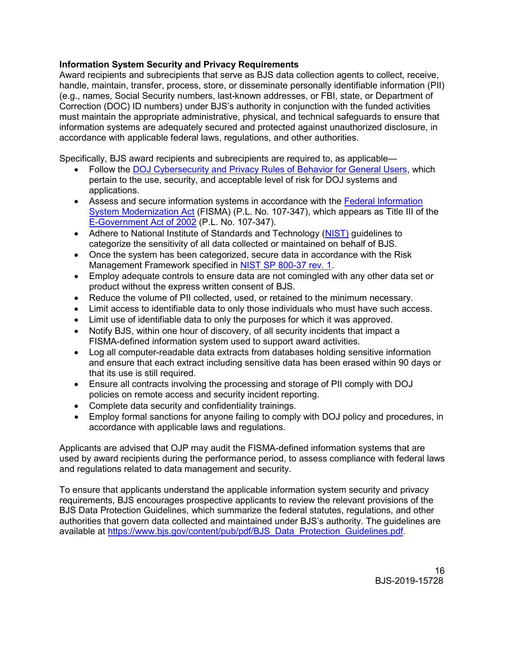#### **Information System Security and Privacy Requirements**

Award recipients and subrecipients that serve as BJS data collection agents to collect, receive, handle, maintain, transfer, process, store, or disseminate personally identifiable information (PII) (e.g., names, Social Security numbers, last-known addresses, or FBI, state, or Department of Correction (DOC) ID numbers) under BJS's authority in conjunction with the funded activities must maintain the appropriate administrative, physical, and technical safeguards to ensure that information systems are adequately secured and protected against unauthorized disclosure, in accordance with applicable federal laws, regulations, and other authorities.

Specifically, BJS award recipients and subrecipients are required to, as applicable—

- Follow the [DOJ Cybersecurity and Privacy Rules of Behavior for General Users,](https://dojnet.doj.gov/jmd/ocio/ocio-document_library/cs/7-DOJ_Rules_of_Behavior/rob-general-users.pdf) which pertain to the use, security, and acceptable level of risk for DOJ systems and applications.
- Assess and secure information systems in accordance with the [Federal Information](https://www.dhs.gov/fisma)  [System Modernization Act](https://www.dhs.gov/fisma) (FISMA) (P.L. No. 107-347), which appears as Title III of the [E-Government Act of 2002](https://www.govinfo.gov/app/details/PLAW-107publ347) (P.L. No. 107-347).
- Adhere to National Institute of Standards and Technology [\(NIST\)](https://nvlpubs.nist.gov/nistpubs/FIPS/NIST.FIPS.199.pdf) quidelines to categorize the sensitivity of all data collected or maintained on behalf of BJS.
- Once the system has been categorized, secure data in accordance with the Risk Management Framework specified in [NIST SP 800-37 rev. 1.](https://nvlpubs.nist.gov/nistpubs/SpecialPublications/NIST.SP.800-37r1.pdf)
- Employ adequate controls to ensure data are not comingled with any other data set or product without the express written consent of BJS.
- Reduce the volume of PII collected, used, or retained to the minimum necessary.
- Limit access to identifiable data to only those individuals who must have such access.
- Limit use of identifiable data to only the purposes for which it was approved.
- Notify BJS, within one hour of discovery, of all security incidents that impact a FISMA-defined information system used to support award activities.
- Log all computer-readable data extracts from databases holding sensitive information and ensure that each extract including sensitive data has been erased within 90 days or that its use is still required.
- Ensure all contracts involving the processing and storage of PII comply with DOJ policies on remote access and security incident reporting.
- Complete data security and confidentiality trainings.
- Employ formal sanctions for anyone failing to comply with DOJ policy and procedures, in accordance with applicable laws and regulations.

Applicants are advised that OJP may audit the FISMA-defined information systems that are used by award recipients during the performance period, to assess compliance with federal laws and regulations related to data management and security.

To ensure that applicants understand the applicable information system security and privacy requirements, BJS encourages prospective applicants to review the relevant provisions of the BJS Data Protection Guidelines, which summarize the federal statutes, regulations, and other authorities that govern data collected and maintained under BJS's authority. The guidelines are available at [https://www.bjs.gov/content/pub/pdf/BJS\\_Data\\_Protection\\_Guidelines.pdf.](https://www.bjs.gov/content/pub/pdf/BJS_Data_Protection_Guidelines.pdf)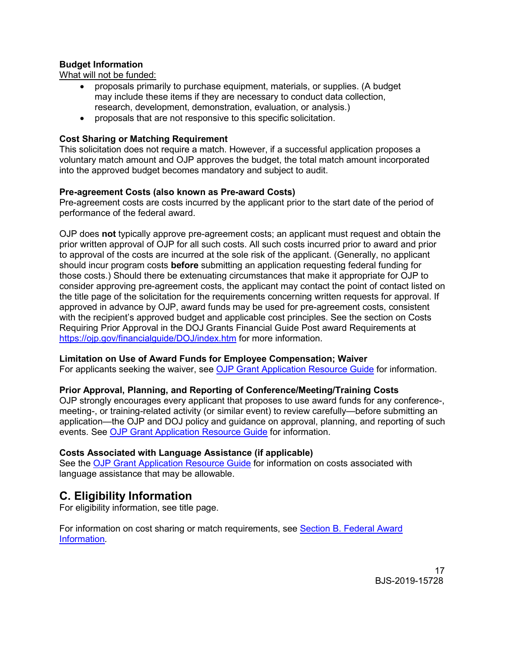#### <span id="page-16-0"></span>**Budget Information**

What will not be funded:

- proposals primarily to purchase equipment, materials, or supplies. (A budget may include these items if they are necessary to conduct data collection, research, development, demonstration, evaluation, or analysis.)
- proposals that are not responsive to this specific solicitation.

#### <span id="page-16-1"></span>**Cost Sharing or Matching Requirement**

This solicitation does not require a match. However, if a successful application proposes a voluntary match amount and OJP approves the budget, the total match amount incorporated into the approved budget becomes mandatory and subject to audit.

#### <span id="page-16-2"></span>**Pre-agreement Costs (also known as Pre-award Costs)**

Pre-agreement costs are costs incurred by the applicant prior to the start date of the period of performance of the federal award.

OJP does **not** typically approve pre-agreement costs; an applicant must request and obtain the prior written approval of OJP for all such costs. All such costs incurred prior to award and prior to approval of the costs are incurred at the sole risk of the applicant. (Generally, no applicant should incur program costs **before** submitting an application requesting federal funding for those costs.) Should there be extenuating circumstances that make it appropriate for OJP to consider approving pre-agreement costs, the applicant may contact the point of contact listed on the title page of the solicitation for the requirements concerning written requests for approval. If approved in advance by OJP, award funds may be used for pre-agreement costs, consistent with the recipient's approved budget and applicable cost principles. See the section on Costs Requiring Prior Approval in the DOJ Grants Financial Guide Post award Requirements at <https://ojp.gov/financialguide/DOJ/index.htm> for more information.

#### <span id="page-16-3"></span>**Limitation on Use of Award Funds for Employee Compensation; Waiver**

For applicants seeking the waiver, see [OJP Grant Application Resource Guide](https://www.ojp.gov/funding/Apply/Resources/Grant-App-Resource-Guide.htm) for information.

#### <span id="page-16-4"></span>**Prior Approval, Planning, and Reporting of Conference/Meeting/Training Costs**

OJP strongly encourages every applicant that proposes to use award funds for any conference-, meeting-, or training-related activity (or similar event) to review carefully—before submitting an application—the OJP and DOJ policy and guidance on approval, planning, and reporting of such events. See [OJP Grant Application Resource Guide](https://www.ojp.gov/funding/Apply/Resources/Grant-App-Resource-Guide.htm) for information.

#### <span id="page-16-5"></span>**Costs Associated with Language Assistance (if applicable)**

See the [OJP Grant Application Resource Guide](https://www.ojp.gov/funding/Apply/Resources/Grant-App-Resource-Guide.htm) for information on costs associated with language assistance that may be allowable.

## <span id="page-16-6"></span>**C. Eligibility Information**

For eligibility information, see title page.

For information on cost sharing or match requirements, see Section [B. Federal Award](#page-14-0)  [Information](#page-14-0)*.*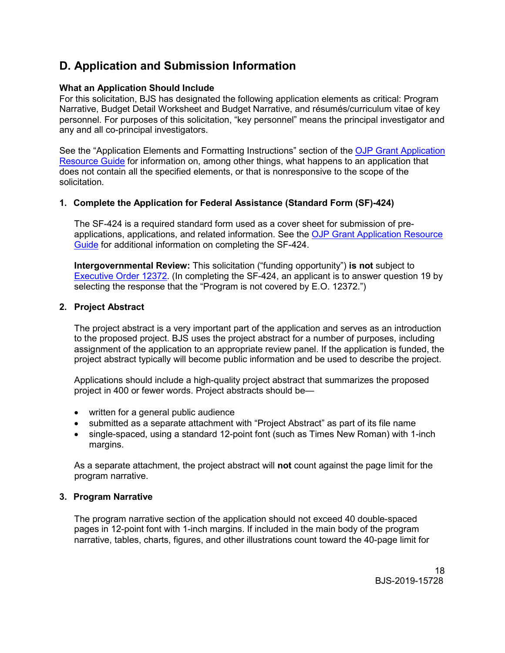# <span id="page-17-0"></span>**D. Application and Submission Information**

#### <span id="page-17-1"></span>**What an Application Should Include**

For this solicitation, BJS has designated the following application elements as critical: Program Narrative, Budget Detail Worksheet and Budget Narrative, and résumés/curriculum vitae of key personnel. For purposes of this solicitation, "key personnel" means the principal investigator and any and all co-principal investigators.

See the "Application Elements and Formatting Instructions" section of the [OJP Grant Application](https://ojp.gov/funding/Apply/Resources/Grant-App-Resource-Guide.htm)  [Resource Guide](https://ojp.gov/funding/Apply/Resources/Grant-App-Resource-Guide.htm) for information on, among other things, what happens to an application that does not contain all the specified elements, or that is nonresponsive to the scope of the solicitation*.*

#### **1. Complete the Application for Federal Assistance (Standard Form (SF)-424)**

The SF-424 is a required standard form used as a cover sheet for submission of preapplications, applications, and related information. See the [OJP Grant Application Resource](https://www.ojp.gov/funding/Apply/Resources/Grant-App-Resource-Guide.htm)  [Guide](https://www.ojp.gov/funding/Apply/Resources/Grant-App-Resource-Guide.htm) for additional information on completing the SF-424.

**Intergovernmental Review:** This solicitation ("funding opportunity") **is not** subject to [Executive Order 12372.](https://www.archives.gov/federal-register/codification/executive-order/12372.html) (In completing the SF-424, an applicant is to answer question 19 by selecting the response that the "Program is not covered by E.O. 12372.")

#### **2. Project Abstract**

The project abstract is a very important part of the application and serves as an introduction to the proposed project. BJS uses the project abstract for a number of purposes, including assignment of the application to an appropriate review panel. If the application is funded, the project abstract typically will become public information and be used to describe the project.

Applications should include a high-quality project abstract that summarizes the proposed project in 400 or fewer words. Project abstracts should be—

- written for a general public audience
- submitted as a separate attachment with "Project Abstract" as part of its file name
- single-spaced, using a standard 12-point font (such as Times New Roman) with 1-inch margins.

As a separate attachment, the project abstract will **not** count against the page limit for the program narrative.

#### **3. Program Narrative**

The program narrative section of the application should not exceed 40 double-spaced pages in 12-point font with 1-inch margins. If included in the main body of the program narrative, tables, charts, figures, and other illustrations count toward the 40-page limit for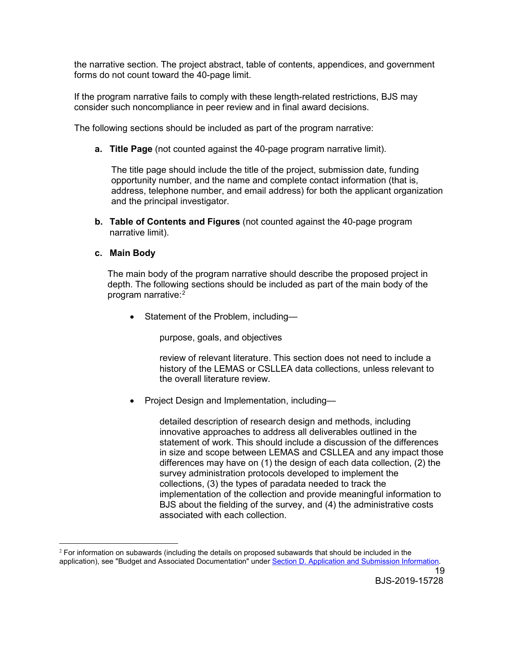the narrative section. The project abstract, table of contents, appendices, and government forms do not count toward the 40-page limit.

If the program narrative fails to comply with these length-related restrictions, BJS may consider such noncompliance in peer review and in final award decisions.

The following sections should be included as part of the program narrative:

**a. Title Page** (not counted against the 40-page program narrative limit).

The title page should include the title of the project, submission date, funding opportunity number, and the name and complete contact information (that is, address, telephone number, and email address) for both the applicant organization and the principal investigator.

**b. Table of Contents and Figures** (not counted against the 40-page program narrative limit).

#### **c. Main Body**

The main body of the program narrative should describe the proposed project in depth. The following sections should be included as part of the main body of the program narrative: [2](#page-18-0)

• Statement of the Problem, including—

purpose, goals, and objectives

review of relevant literature. This section does not need to include a history of the LEMAS or CSLLEA data collections, unless relevant to the overall literature review.

• Project Design and Implementation, including—

detailed description of research design and methods, including innovative approaches to address all deliverables outlined in the statement of work. This should include a discussion of the differences in size and scope between LEMAS and CSLLEA and any impact those differences may have on (1) the design of each data collection, (2) the survey administration protocols developed to implement the collections, (3) the types of paradata needed to track the implementation of the collection and provide meaningful information to BJS about the fielding of the survey, and (4) the administrative costs associated with each collection.

<span id="page-18-0"></span> $\overline{a}$  $2$  For information on subawards (including the details on proposed subawards that should be included in the application), see "Budget and Associated Documentation" under [Section D. Application and Submission Information.](#page-17-0)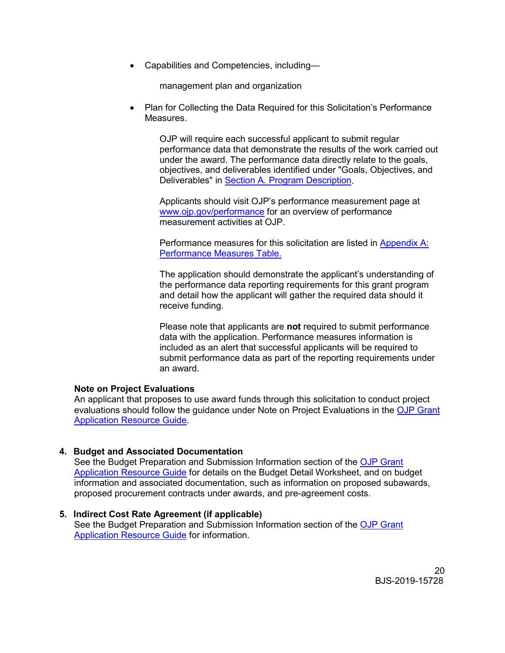• Capabilities and Competencies, including—

management plan and organization

• Plan for Collecting the Data Required for this Solicitation's Performance Measures.

OJP will require each successful applicant to submit regular performance data that demonstrate the results of the work carried out under the award. The performance data directly relate to the goals, objectives, and deliverables identified under "Goals, Objectives, and Deliverables" in [Section A. Program Description.](#page-4-0)

Applicants should visit OJP's performance measurement page at [www.ojp.gov/performance](https://www.ojp.gov/performance) for an overview of performance measurement activities at OJP.

Performance measures for this solicitation are listed in [Appendix A:](#page-27-0)  [Performance Measures Table.](#page-27-0)

The application should demonstrate the applicant's understanding of the performance data reporting requirements for this grant program and detail how the applicant will gather the required data should it receive funding.

Please note that applicants are **not** required to submit performance data with the application. Performance measures information is included as an alert that successful applicants will be required to submit performance data as part of the reporting requirements under an award.

#### **Note on Project Evaluations**

An applicant that proposes to use award funds through this solicitation to conduct project evaluations should follow the guidance under Note on Project Evaluations in the [OJP Grant](https://www.ojp.gov/funding/Apply/Resources/Grant-App-Resource-Guide.htm)  [Application Resource Guide.](https://www.ojp.gov/funding/Apply/Resources/Grant-App-Resource-Guide.htm)

#### **4. Budget and Associated Documentation**

See the Budget Preparation and Submission Information section of the [OJP Grant](https://www.ojp.gov/funding/Apply/Resources/Grant-App-Resource-Guide.htm)  [Application Resource Guide](https://www.ojp.gov/funding/Apply/Resources/Grant-App-Resource-Guide.htm) for details on the Budget Detail Worksheet, and on budget information and associated documentation, such as information on proposed subawards, proposed procurement contracts under awards, and pre-agreement costs.

**5. Indirect Cost Rate Agreement (if applicable)** See the Budget Preparation and Submission Information section of the [OJP Grant](https://www.ojp.gov/funding/Apply/Resources/Grant-App-Resource-Guide.htm)  [Application Resource Guide](https://www.ojp.gov/funding/Apply/Resources/Grant-App-Resource-Guide.htm) for information.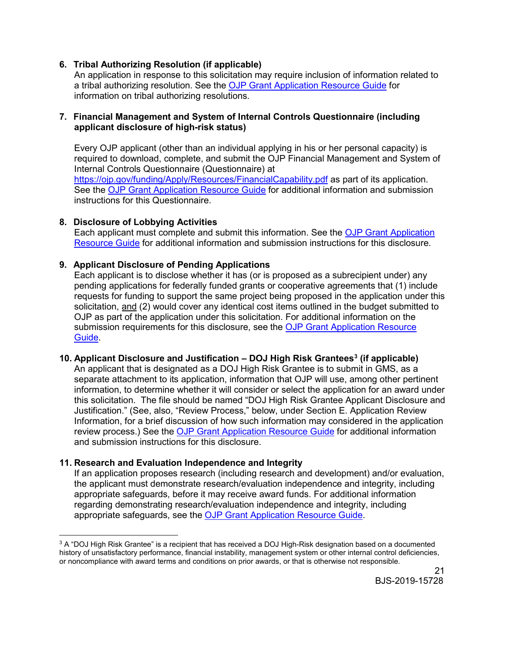#### **6. Tribal Authorizing Resolution (if applicable)**

An application in response to this solicitation may require inclusion of information related to a tribal authorizing resolution. See the [OJP Grant Application Resource Guide](https://www.ojp.gov/funding/Apply/Resources/Grant-App-Resource-Guide.htm) for information on tribal authorizing resolutions.

#### **7. Financial Management and System of Internal Controls Questionnaire (including applicant disclosure of high-risk status)**

Every OJP applicant (other than an individual applying in his or her personal capacity) is required to download, complete, and submit the OJP Financial Management and System of Internal Controls Questionnaire (Questionnaire) at <https://ojp.gov/funding/Apply/Resources/FinancialCapability.pdf> as part of its application. See the [OJP Grant Application Resource Guide](https://www.ojp.gov/funding/Apply/Resources/Grant-App-Resource-Guide.htm) for additional information and submission instructions for this Questionnaire.

#### **8. Disclosure of Lobbying Activities**

Each applicant must complete and submit this information. See the [OJP Grant Application](https://www.ojp.gov/funding/Apply/Resources/Grant-App-Resource-Guide.htm)  [Resource Guide](https://www.ojp.gov/funding/Apply/Resources/Grant-App-Resource-Guide.htm) for additional information and submission instructions for this disclosure.

#### **9. Applicant Disclosure of Pending Applications**

Each applicant is to disclose whether it has (or is proposed as a subrecipient under) any pending applications for federally funded grants or cooperative agreements that (1) include requests for funding to support the same project being proposed in the application under this solicitation, and (2) would cover any identical cost items outlined in the budget submitted to OJP as part of the application under this solicitation. For additional information on the submission requirements for this disclosure, see the [OJP Grant Application Resource](https://www.ojp.gov/funding/Apply/Resources/Grant-App-Resource-Guide.htm)  [Guide.](https://www.ojp.gov/funding/Apply/Resources/Grant-App-Resource-Guide.htm)

#### **10. Applicant Disclosure and Justification – DOJ High Risk Grantees[3](#page-20-0) (if applicable)**

An applicant that is designated as a DOJ High Risk Grantee is to submit in GMS, as a separate attachment to its application, information that OJP will use, among other pertinent information, to determine whether it will consider or select the application for an award under this solicitation. The file should be named "DOJ High Risk Grantee Applicant Disclosure and Justification." (See, also, "Review Process," below, under Section E. Application Review Information, for a brief discussion of how such information may considered in the application review process.) See the [OJP Grant Application Resource Guide](https://www.ojp.gov/funding/Apply/Resources/Grant-App-Resource-Guide.htm) for additional information and submission instructions for this disclosure.

#### **11. Research and Evaluation Independence and Integrity**

If an application proposes research (including research and development) and/or evaluation, the applicant must demonstrate research/evaluation independence and integrity, including appropriate safeguards, before it may receive award funds. For additional information regarding demonstrating research/evaluation independence and integrity, including appropriate safeguards, see the [OJP Grant Application Resource Guide.](https://www.ojp.gov/funding/Apply/Resources/Grant-App-Resource-Guide.htm)

<span id="page-20-0"></span> $\overline{a}$  $3$  A "DOJ High Risk Grantee" is a recipient that has received a DOJ High-Risk designation based on a documented history of unsatisfactory performance, financial instability, management system or other internal control deficiencies, or noncompliance with award terms and conditions on prior awards, or that is otherwise not responsible.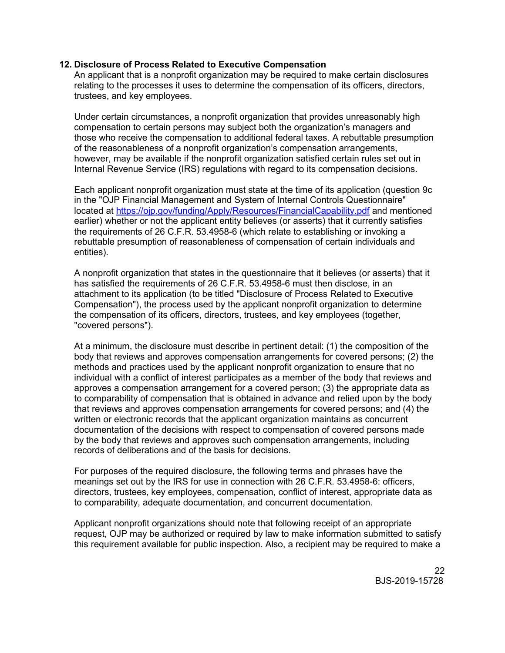#### **12. Disclosure of Process Related to Executive Compensation**

An applicant that is a nonprofit organization may be required to make certain disclosures relating to the processes it uses to determine the compensation of its officers, directors, trustees, and key employees.

Under certain circumstances, a nonprofit organization that provides unreasonably high compensation to certain persons may subject both the organization's managers and those who receive the compensation to additional federal taxes. A rebuttable presumption of the reasonableness of a nonprofit organization's compensation arrangements, however, may be available if the nonprofit organization satisfied certain rules set out in Internal Revenue Service (IRS) regulations with regard to its compensation decisions.

Each applicant nonprofit organization must state at the time of its application (question 9c in the "OJP Financial Management and System of Internal Controls Questionnaire" located at<https://ojp.gov/funding/Apply/Resources/FinancialCapability.pdf> and mentioned earlier) whether or not the applicant entity believes (or asserts) that it currently satisfies the requirements of 26 C.F.R. 53.4958-6 (which relate to establishing or invoking a rebuttable presumption of reasonableness of compensation of certain individuals and entities).

A nonprofit organization that states in the questionnaire that it believes (or asserts) that it has satisfied the requirements of 26 C.F.R. 53.4958-6 must then disclose, in an attachment to its application (to be titled "Disclosure of Process Related to Executive Compensation"), the process used by the applicant nonprofit organization to determine the compensation of its officers, directors, trustees, and key employees (together, "covered persons").

At a minimum, the disclosure must describe in pertinent detail: (1) the composition of the body that reviews and approves compensation arrangements for covered persons; (2) the methods and practices used by the applicant nonprofit organization to ensure that no individual with a conflict of interest participates as a member of the body that reviews and approves a compensation arrangement for a covered person; (3) the appropriate data as to comparability of compensation that is obtained in advance and relied upon by the body that reviews and approves compensation arrangements for covered persons; and (4) the written or electronic records that the applicant organization maintains as concurrent documentation of the decisions with respect to compensation of covered persons made by the body that reviews and approves such compensation arrangements, including records of deliberations and of the basis for decisions.

For purposes of the required disclosure, the following terms and phrases have the meanings set out by the IRS for use in connection with 26 C.F.R. 53.4958-6: officers, directors, trustees, key employees, compensation, conflict of interest, appropriate data as to comparability, adequate documentation, and concurrent documentation.

Applicant nonprofit organizations should note that following receipt of an appropriate request, OJP may be authorized or required by law to make information submitted to satisfy this requirement available for public inspection. Also, a recipient may be required to make a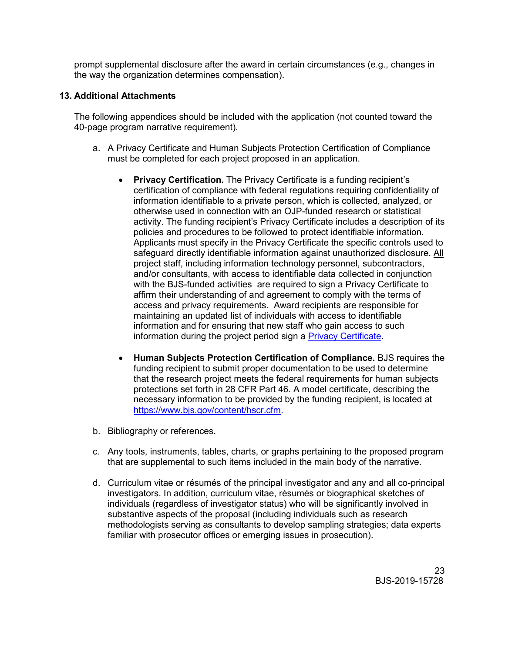prompt supplemental disclosure after the award in certain circumstances (e.g., changes in the way the organization determines compensation).

#### **13. Additional Attachments**

The following appendices should be included with the application (not counted toward the 40-page program narrative requirement).

- a. A Privacy Certificate and Human Subjects Protection Certification of Compliance must be completed for each project proposed in an application.
	- **Privacy Certification.** The Privacy Certificate is a funding recipient's certification of compliance with federal regulations requiring confidentiality of information identifiable to a private person, which is collected, analyzed, or otherwise used in connection with an OJP-funded research or statistical activity. The funding recipient's Privacy Certificate includes a description of its policies and procedures to be followed to protect identifiable information. Applicants must specify in the Privacy Certificate the specific controls used to safeguard directly identifiable information against unauthorized disclosure. All project staff, including information technology personnel, subcontractors, and/or consultants, with access to identifiable data collected in conjunction with the BJS-funded activities are required to sign a Privacy Certificate to affirm their understanding of and agreement to comply with the terms of access and privacy requirements. Award recipients are responsible for maintaining an updated list of individuals with access to identifiable information and for ensuring that new staff who gain access to such information during the project period sign a [Privacy Certificate.](https://www.bjs.gov/content/pub/pdf/bjsmpc.pdf)
	- **Human Subjects Protection Certification of Compliance.** BJS requires the funding recipient to submit proper documentation to be used to determine that the research project meets the federal requirements for human subjects protections set forth in 28 CFR Part 46. A model certificate, describing the necessary information to be provided by the funding recipient, is located at [https://www.bjs.gov/content/hscr.cfm.](https://www.bjs.gov/content/hscr.cfm)
- b. Bibliography or references.
- c. Any tools, instruments, tables, charts, or graphs pertaining to the proposed program that are supplemental to such items included in the main body of the narrative.
- d. Curriculum vitae or résumés of the principal investigator and any and all co-principal investigators. In addition, curriculum vitae, résumés or biographical sketches of individuals (regardless of investigator status) who will be significantly involved in substantive aspects of the proposal (including individuals such as research methodologists serving as consultants to develop sampling strategies; data experts familiar with prosecutor offices or emerging issues in prosecution).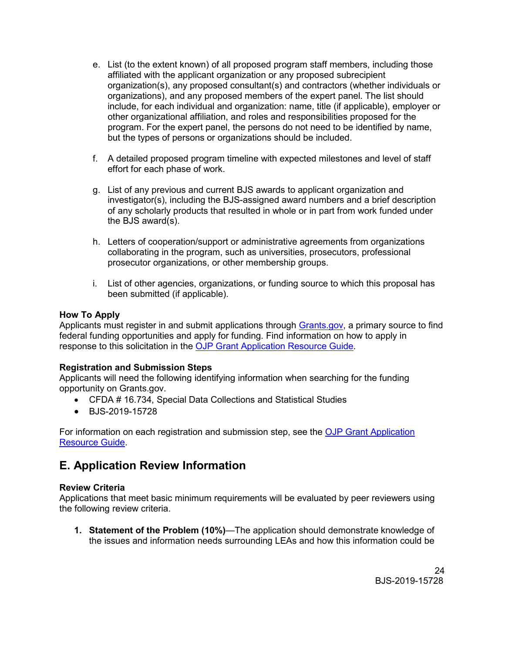- e. List (to the extent known) of all proposed program staff members, including those affiliated with the applicant organization or any proposed subrecipient organization(s), any proposed consultant(s) and contractors (whether individuals or organizations), and any proposed members of the expert panel. The list should include, for each individual and organization: name, title (if applicable), employer or other organizational affiliation, and roles and responsibilities proposed for the program. For the expert panel, the persons do not need to be identified by name, but the types of persons or organizations should be included.
- f. A detailed proposed program timeline with expected milestones and level of staff effort for each phase of work.
- g. List of any previous and current BJS awards to applicant organization and investigator(s), including the BJS-assigned award numbers and a brief description of any scholarly products that resulted in whole or in part from work funded under the BJS award(s).
- h. Letters of cooperation/support or administrative agreements from organizations collaborating in the program, such as universities, prosecutors, professional prosecutor organizations, or other membership groups.
- i. List of other agencies, organizations, or funding source to which this proposal has been submitted (if applicable).

#### <span id="page-23-0"></span>**How To Apply**

Applicants must register in and submit applications through [Grants.gov,](https://www.grants.gov/) a primary source to find federal funding opportunities and apply for funding. Find information on how to apply in response to this solicitation in the [OJP Grant Application Resource Guide.](https://www.ojp.gov/funding/Apply/Resources/Grant-App-Resource-Guide.htm)

#### **Registration and Submission Steps**

Applicants will need the following identifying information when searching for the funding opportunity on Grants.gov.

- CFDA # 16.734, Special Data Collections and Statistical Studies
- BJS-2019-15728

For information on each registration and submission step, see the [OJP Grant Application](https://www.ojp.gov/funding/Apply/Resources/Grant-App-Resource-Guide.htm)  [Resource Guide.](https://www.ojp.gov/funding/Apply/Resources/Grant-App-Resource-Guide.htm)

## <span id="page-23-1"></span>**E. Application Review Information**

#### <span id="page-23-2"></span>**Review Criteria**

Applications that meet basic minimum requirements will be evaluated by peer reviewers using the following review criteria.

**1. Statement of the Problem (10%)***—*The application should demonstrate knowledge of the issues and information needs surrounding LEAs and how this information could be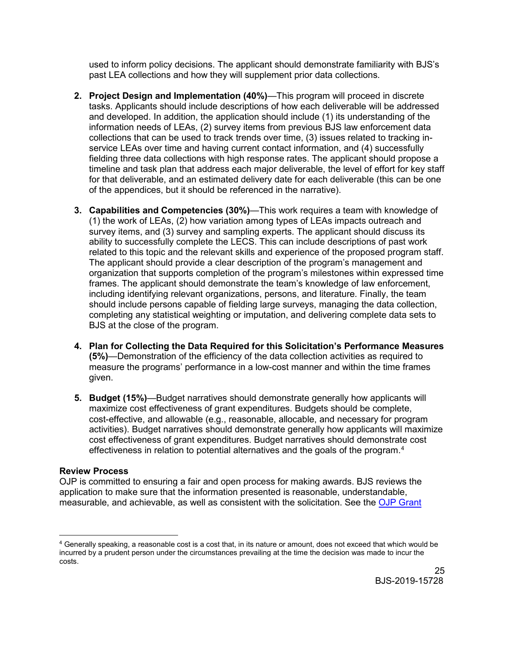used to inform policy decisions. The applicant should demonstrate familiarity with BJS's past LEA collections and how they will supplement prior data collections.

- **2. Project Design and Implementation (40%)**—This program will proceed in discrete tasks. Applicants should include descriptions of how each deliverable will be addressed and developed. In addition, the application should include (1) its understanding of the information needs of LEAs, (2) survey items from previous BJS law enforcement data collections that can be used to track trends over time, (3) issues related to tracking inservice LEAs over time and having current contact information, and (4) successfully fielding three data collections with high response rates. The applicant should propose a timeline and task plan that address each major deliverable, the level of effort for key staff for that deliverable, and an estimated delivery date for each deliverable (this can be one of the appendices, but it should be referenced in the narrative).
- **3. Capabilities and Competencies (30%)**—This work requires a team with knowledge of (1) the work of LEAs, (2) how variation among types of LEAs impacts outreach and survey items, and (3) survey and sampling experts. The applicant should discuss its ability to successfully complete the LECS. This can include descriptions of past work related to this topic and the relevant skills and experience of the proposed program staff. The applicant should provide a clear description of the program's management and organization that supports completion of the program's milestones within expressed time frames. The applicant should demonstrate the team's knowledge of law enforcement, including identifying relevant organizations, persons, and literature. Finally, the team should include persons capable of fielding large surveys, managing the data collection, completing any statistical weighting or imputation, and delivering complete data sets to BJS at the close of the program.
- **4. Plan for Collecting the Data Required for this Solicitation's Performance Measures (5%)**—Demonstration of the efficiency of the data collection activities as required to measure the programs' performance in a low-cost manner and within the time frames given.
- **5. Budget (15%)**—Budget narratives should demonstrate generally how applicants will maximize cost effectiveness of grant expenditures. Budgets should be complete, cost-effective, and allowable (e.g., reasonable, allocable, and necessary for program activities). Budget narratives should demonstrate generally how applicants will maximize cost effectiveness of grant expenditures. Budget narratives should demonstrate cost effectiveness in relation to potential alternatives and the goals of the program. [4](#page-24-1)

#### <span id="page-24-0"></span>**Review Process**

 $\overline{a}$ 

OJP is committed to ensuring a fair and open process for making awards. BJS reviews the application to make sure that the information presented is reasonable, understandable, measurable, and achievable, as well as consistent with the solicitation. See the [OJP Grant](https://www.ojp.gov/funding/Apply/Resources/Grant-App-Resource-Guide.htm) 

<span id="page-24-1"></span><sup>4</sup> Generally speaking, a reasonable cost is a cost that, in its nature or amount, does not exceed that which would be incurred by a prudent person under the circumstances prevailing at the time the decision was made to incur the costs.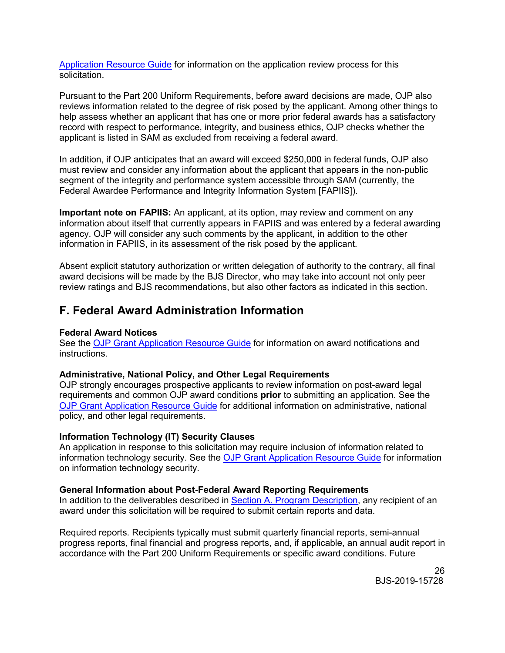[Application Resource Guide](https://www.ojp.gov/funding/Apply/Resources/Grant-App-Resource-Guide.htm) for information on the application review process for this solicitation.

Pursuant to the Part 200 Uniform Requirements, before award decisions are made, OJP also reviews information related to the degree of risk posed by the applicant. Among other things to help assess whether an applicant that has one or more prior federal awards has a satisfactory record with respect to performance, integrity, and business ethics, OJP checks whether the applicant is listed in SAM as excluded from receiving a federal award.

In addition, if OJP anticipates that an award will exceed \$250,000 in federal funds, OJP also must review and consider any information about the applicant that appears in the non-public segment of the integrity and performance system accessible through SAM (currently, the Federal Awardee Performance and Integrity Information System [FAPIIS]).

**Important note on FAPIIS:** An applicant, at its option, may review and comment on any information about itself that currently appears in FAPIIS and was entered by a federal awarding agency. OJP will consider any such comments by the applicant, in addition to the other information in FAPIIS, in its assessment of the risk posed by the applicant.

Absent explicit statutory authorization or written delegation of authority to the contrary, all final award decisions will be made by the BJS Director, who may take into account not only peer review ratings and BJS recommendations, but also other factors as indicated in this section.

## <span id="page-25-0"></span>**F. Federal Award Administration Information**

#### <span id="page-25-1"></span>**Federal Award Notices**

See the [OJP Grant Application Resource Guide](https://www.ojp.gov/funding/Apply/Resources/Grant-App-Resource-Guide.htm) for information on award notifications and instructions.

#### <span id="page-25-2"></span>**Administrative, National Policy, and Other Legal Requirements**

OJP strongly encourages prospective applicants to review information on post-award legal requirements and common OJP award conditions **prior** to submitting an application. See the [OJP Grant Application Resource Guide](https://www.ojp.gov/funding/Apply/Resources/Grant-App-Resource-Guide.htm) for additional information on administrative, national policy, and other legal requirements.

#### <span id="page-25-3"></span>**Information Technology (IT) Security Clauses**

An application in response to this solicitation may require inclusion of information related to information technology security. See the [OJP Grant Application Resource Guide](https://www.ojp.gov/funding/Apply/Resources/Grant-App-Resource-Guide.htm) for information on information technology security.

#### <span id="page-25-4"></span>**General Information about Post-Federal Award Reporting Requirements**

In addition to the deliverables described in [Section A. Program Description,](#page-4-0) any recipient of an award under this solicitation will be required to submit certain reports and data.

Required reports. Recipients typically must submit quarterly financial reports, semi-annual progress reports, final financial and progress reports, and, if applicable, an annual audit report in accordance with the Part 200 Uniform Requirements or specific award conditions. Future

> 26 BJS-2019-15728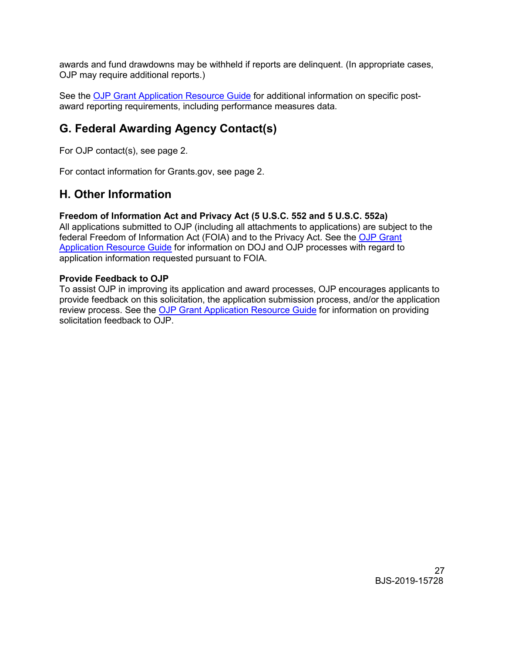awards and fund drawdowns may be withheld if reports are delinquent. (In appropriate cases, OJP may require additional reports.)

See the [OJP Grant Application Resource Guide](https://www.ojp.gov/funding/Apply/Resources/Grant-App-Resource-Guide.htm) for additional information on specific postaward reporting requirements, including performance measures data.

# <span id="page-26-0"></span>**G. Federal Awarding Agency Contact(s)**

For OJP contact(s), see page 2.

For contact information for Grants.gov, see page 2.

## <span id="page-26-1"></span>**H. Other Information**

#### <span id="page-26-2"></span>**Freedom of Information Act and Privacy Act (5 U.S.C. 552 and 5 U.S.C. 552a)**

All applications submitted to OJP (including all attachments to applications) are subject to the federal Freedom of Information Act (FOIA) and to the Privacy Act. See the [OJP Grant](https://www.ojp.gov/funding/Apply/Resources/Grant-App-Resource-Guide.htm)  [Application Resource Guide](https://www.ojp.gov/funding/Apply/Resources/Grant-App-Resource-Guide.htm) for information on DOJ and OJP processes with regard to application information requested pursuant to FOIA.

#### <span id="page-26-3"></span>**Provide Feedback to OJP**

To assist OJP in improving its application and award processes, OJP encourages applicants to provide feedback on this solicitation, the application submission process, and/or the application review process. See the [OJP Grant Application Resource Guide](https://www.ojp.gov/funding/Apply/Resources/Grant-App-Resource-Guide.htm) for information on providing solicitation feedback to OJP.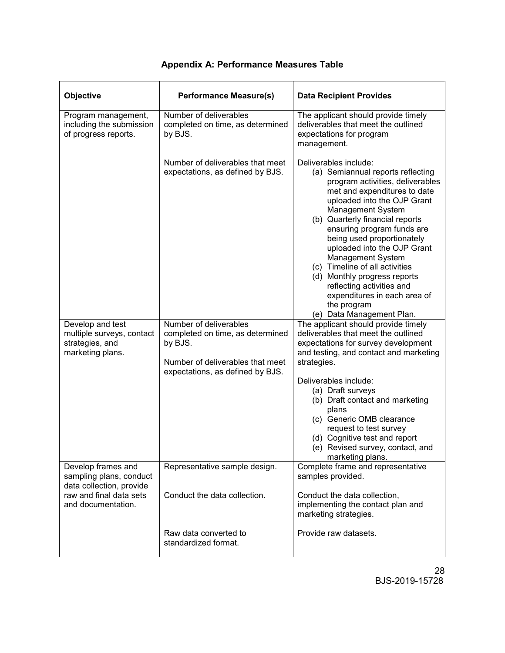<span id="page-27-0"></span>

| Objective                                                                                            | <b>Performance Measure(s)</b>                                                                                                                 | <b>Data Recipient Provides</b>                                                                                                                                                                                                                                                                                                                                                                                                                                                                                   |
|------------------------------------------------------------------------------------------------------|-----------------------------------------------------------------------------------------------------------------------------------------------|------------------------------------------------------------------------------------------------------------------------------------------------------------------------------------------------------------------------------------------------------------------------------------------------------------------------------------------------------------------------------------------------------------------------------------------------------------------------------------------------------------------|
| Program management,<br>including the submission<br>of progress reports.                              | Number of deliverables<br>completed on time, as determined<br>by BJS.                                                                         | The applicant should provide timely<br>deliverables that meet the outlined<br>expectations for program<br>management.                                                                                                                                                                                                                                                                                                                                                                                            |
|                                                                                                      | Number of deliverables that meet<br>expectations, as defined by BJS.                                                                          | Deliverables include:<br>(a) Semiannual reports reflecting<br>program activities, deliverables<br>met and expenditures to date<br>uploaded into the OJP Grant<br>Management System<br>(b) Quarterly financial reports<br>ensuring program funds are<br>being used proportionately<br>uploaded into the OJP Grant<br>Management System<br>(c) Timeline of all activities<br>(d) Monthly progress reports<br>reflecting activities and<br>expenditures in each area of<br>the program<br>(e) Data Management Plan. |
| Develop and test<br>multiple surveys, contact<br>strategies, and<br>marketing plans.                 | Number of deliverables<br>completed on time, as determined<br>by BJS.<br>Number of deliverables that meet<br>expectations, as defined by BJS. | The applicant should provide timely<br>deliverables that meet the outlined<br>expectations for survey development<br>and testing, and contact and marketing<br>strategies.<br>Deliverables include:<br>(a) Draft surveys<br>(b) Draft contact and marketing<br>plans<br>(c) Generic OMB clearance<br>request to test survey<br>(d) Cognitive test and report<br>(e) Revised survey, contact, and<br>marketing plans.                                                                                             |
| Develop frames and<br>sampling plans, conduct<br>data collection, provide<br>raw and final data sets | Representative sample design.<br>Conduct the data collection.                                                                                 | Complete frame and representative<br>samples provided.<br>Conduct the data collection,                                                                                                                                                                                                                                                                                                                                                                                                                           |
| and documentation.                                                                                   |                                                                                                                                               | implementing the contact plan and<br>marketing strategies.                                                                                                                                                                                                                                                                                                                                                                                                                                                       |
|                                                                                                      | Raw data converted to<br>standardized format.                                                                                                 | Provide raw datasets.                                                                                                                                                                                                                                                                                                                                                                                                                                                                                            |

### **Appendix A: Performance Measures Table**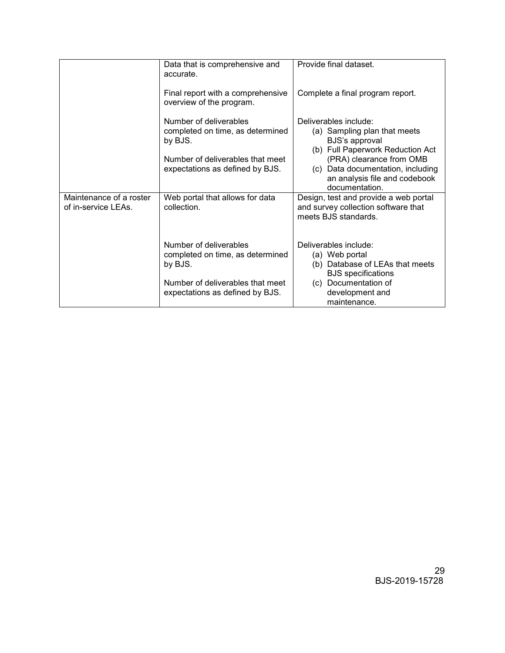|                                                | Data that is comprehensive and<br>accurate.                                                                                                  | Provide final dataset.                                                                                                                                                                                                          |
|------------------------------------------------|----------------------------------------------------------------------------------------------------------------------------------------------|---------------------------------------------------------------------------------------------------------------------------------------------------------------------------------------------------------------------------------|
|                                                | Final report with a comprehensive<br>overview of the program.                                                                                | Complete a final program report.                                                                                                                                                                                                |
|                                                | Number of deliverables<br>completed on time, as determined<br>by BJS.<br>Number of deliverables that meet<br>expectations as defined by BJS. | Deliverables include:<br>(a) Sampling plan that meets<br>BJS's approval<br>(b) Full Paperwork Reduction Act<br>(PRA) clearance from OMB<br>(c) Data documentation, including<br>an analysis file and codebook<br>documentation. |
| Maintenance of a roster<br>of in-service LEAs. | Web portal that allows for data<br>collection.                                                                                               | Design, test and provide a web portal<br>and survey collection software that<br>meets BJS standards.                                                                                                                            |
|                                                | Number of deliverables<br>completed on time, as determined<br>by BJS.<br>Number of deliverables that meet<br>expectations as defined by BJS. | Deliverables include:<br>(a) Web portal<br>(b) Database of LEAs that meets<br><b>BJS</b> specifications<br>(c) Documentation of<br>development and<br>maintenance.                                                              |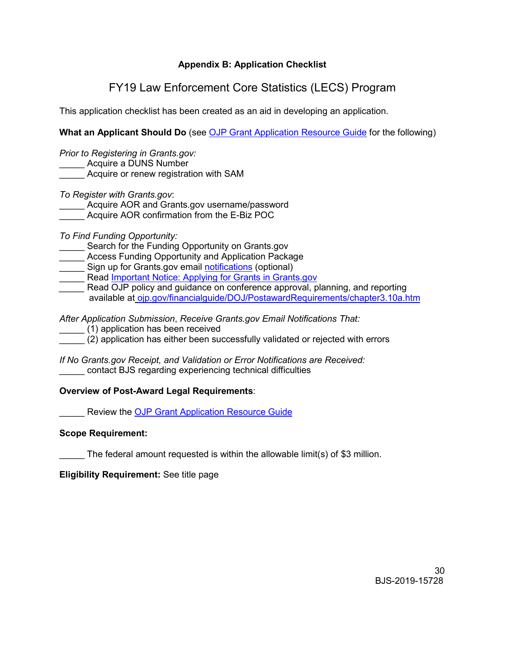#### **Appendix B: Application Checklist**

# FY19 Law Enforcement Core Statistics (LECS) Program

<span id="page-29-0"></span>This application checklist has been created as an aid in developing an application.

**What an Applicant Should Do** (see [OJP Grant Application Resource Guide](https://ojp.gov/funding/Apply/Resources/Grant-App-Resource-Guide.htm) for the following)

*Prior to Registering in Grants.gov:* Acquire a DUNS Number

\_\_\_\_\_ Acquire or renew registration with SAM

*To Register with Grants.gov*:

Acquire AOR and Grants.gov username/password

Acquire AOR confirmation from the E-Biz POC

*To Find Funding Opportunity:*

Search for the Funding Opportunity on Grants.gov

Access Funding Opportunity and Application Package

Sign up for Grants.gov email **notifications** (optional)

Read [Important Notice: Applying for Grants in Grants.gov](https://ojp.gov/funding/Apply/Grants-govInfo.htm)

*\_\_\_\_\_* Read OJP policy and guidance on conference approval, planning, and reporting available at [ojp.gov/financialguide/DOJ/PostawardRequirements/chapter3.10a.htm](https://ojp.gov/financialguide/DOJ/PostawardRequirements/chapter3.10a.htm)

*After Application Submission*, *Receive Grants.gov Email Notifications That:*

\_\_\_\_\_ (1) application has been received

\_\_\_\_\_ (2) application has either been successfully validated or rejected with errors

*If No Grants.gov Receipt, and Validation or Error Notifications are Received:* contact BJS regarding experiencing technical difficulties

#### **Overview of Post-Award Legal Requirements**:

Review the [OJP Grant Application Resource Guide](https://ojp.gov/funding/Apply/Resources/Grant-App-Resource-Guide.htm)

#### **Scope Requirement:**

The federal amount requested is within the allowable limit(s) of \$3 million.

**Eligibility Requirement:** See title page